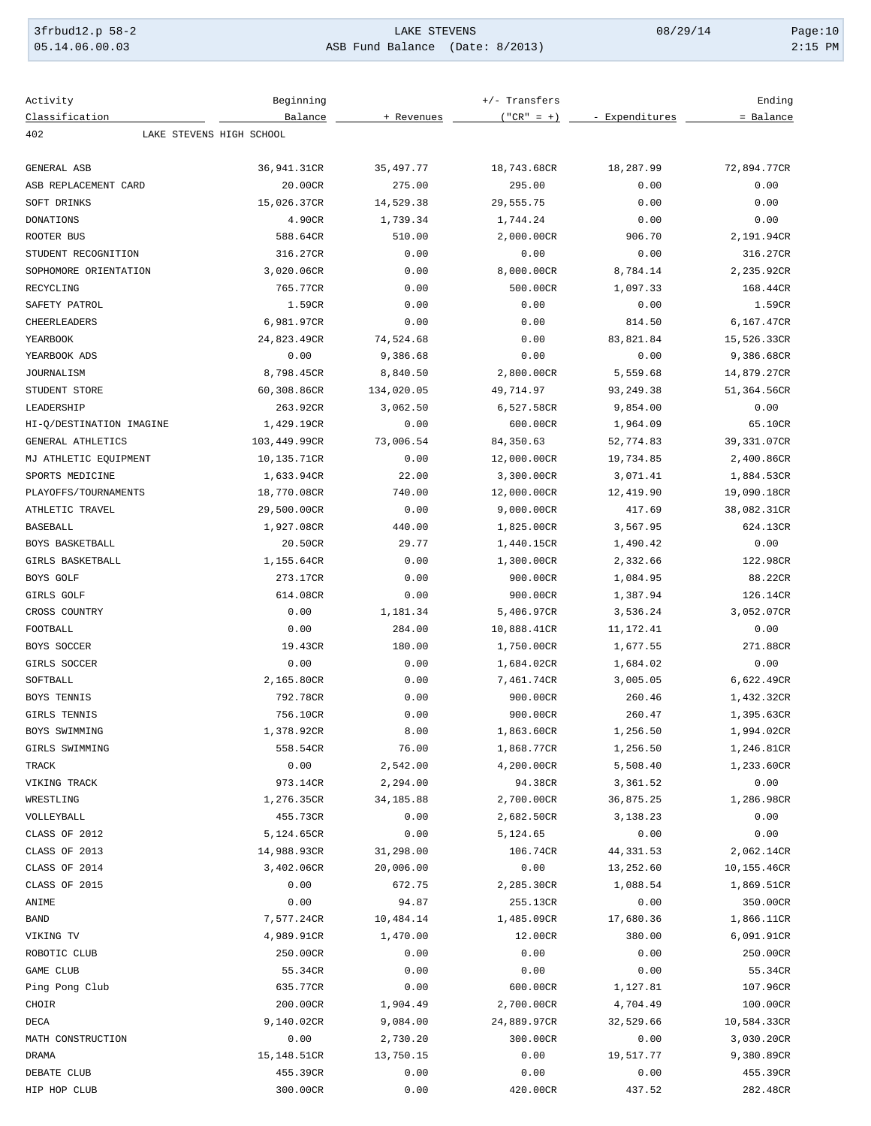| 3frbud12.p 58-2 | LAKE STEVENS                    | 08/29/14 | Page:10   |
|-----------------|---------------------------------|----------|-----------|
| 05.14.06.00.03  | ASB Fund Balance (Date: 8/2013) |          | $2:15$ PM |

| Activity                        | Beginning                |               | +/- Transfers          |                      | Ending                   |
|---------------------------------|--------------------------|---------------|------------------------|----------------------|--------------------------|
| Classification                  | Balance                  | + Revenues    | $("CR" = +)$           | - Expenditures       | = Balance                |
| 402                             | LAKE STEVENS HIGH SCHOOL |               |                        |                      |                          |
| <b>GENERAL ASB</b>              | 36,941.31CR              | 35,497.77     | 18,743.68CR            | 18,287.99            | 72,894.77CR              |
| ASB REPLACEMENT CARD            | 20.00CR                  | 275.00        | 295.00                 | 0.00                 | 0.00                     |
| SOFT DRINKS                     | 15,026.37CR              | 14,529.38     | 29,555.75              | 0.00                 | 0.00                     |
| DONATIONS                       | 4.90CR                   | 1,739.34      | 1,744.24               | 0.00                 | 0.00                     |
| ROOTER BUS                      | 588.64CR                 | 510.00        | 2,000.00CR             | 906.70               | 2,191.94CR               |
| STUDENT RECOGNITION             | 316.27CR                 | 0.00          | 0.00                   | 0.00                 | 316.27CR                 |
| SOPHOMORE ORIENTATION           | 3,020.06CR               | 0.00          | 8,000.00CR             | 8,784.14             | 2,235.92CR               |
| RECYCLING                       | 765.77CR                 | 0.00          | 500.00CR               | 1,097.33             | 168.44CR                 |
| SAFETY PATROL                   | 1.59CR                   | 0.00          | 0.00                   | 0.00                 | 1.59CR                   |
| CHEERLEADERS                    | 6,981.97CR               | 0.00          | 0.00                   | 814.50               | 6,167.47CR               |
| YEARBOOK                        | 24,823.49CR              | 74,524.68     | 0.00                   | 83,821.84            | 15,526.33CR              |
| YEARBOOK ADS                    | 0.00                     | 9,386.68      | 0.00                   | 0.00                 | 9,386.68CR               |
| JOURNALISM                      | 8,798.45CR               | 8,840.50      | 2,800.00CR             | 5,559.68             | 14,879.27CR              |
| STUDENT STORE                   | 60,308.86CR              | 134,020.05    | 49,714.97              | 93,249.38            | 51,364.56CR              |
| LEADERSHIP                      | 263.92CR                 | 3,062.50      | 6,527.58CR             | 9,854.00             | 0.00                     |
| HI-Q/DESTINATION IMAGINE        | 1,429.19CR               | 0.00          | 600.00CR               | 1,964.09             | 65.10CR                  |
| GENERAL ATHLETICS               | 103,449.99CR             | 73,006.54     | 84,350.63              | 52,774.83            | 39,331.07CR              |
| MJ ATHLETIC EQUIPMENT           | 10,135.71CR              | 0.00          | 12,000.00CR            | 19,734.85            | 2,400.86CR               |
| SPORTS MEDICINE                 | 1,633.94CR               | 22.00         | 3,300.00CR             | 3,071.41             | 1,884.53CR               |
| PLAYOFFS/TOURNAMENTS            | 18,770.08CR              | 740.00        | 12,000.00CR            | 12,419.90            | 19,090.18CR              |
| ATHLETIC TRAVEL                 | 29,500.00CR              | 0.00          | 9,000.00CR             | 417.69               | 38,082.31CR              |
| <b>BASEBALL</b>                 | 1,927.08CR               | 440.00        | 1,825.00CR             | 3,567.95             | 624.13CR                 |
| BOYS BASKETBALL                 | 20.50CR                  | 29.77         | 1,440.15CR             | 1,490.42             | 0.00                     |
| GIRLS BASKETBALL                | 1,155.64CR               | 0.00          |                        |                      | 122.98CR                 |
| BOYS GOLF                       | 273.17CR                 | 0.00          | 1,300.00CR<br>900.00CR | 2,332.66             | 88.22CR                  |
| GIRLS GOLF                      | 614.08CR                 | 0.00          | 900.00CR               | 1,084.95             | 126.14CR                 |
| CROSS COUNTRY                   | 0.00                     |               | 5,406.97CR             | 1,387.94             | 3,052.07CR               |
| FOOTBALL                        | 0.00                     | 1,181.34      |                        | 3,536.24             |                          |
| <b>BOYS SOCCER</b>              |                          | 284.00        | 10,888.41CR            | 11,172.41            | 0.00<br>271.88CR         |
| GIRLS SOCCER                    | 19.43CR                  | 180.00        | 1,750.00CR             | 1,677.55             |                          |
| SOFTBALL                        | 0.00                     | 0.00          | 1,684.02CR             | 1,684.02<br>3,005.05 | 0.00                     |
| <b>BOYS TENNIS</b>              | 2,165.80CR               | 0.00          | 7,461.74CR             |                      | 6,622.49CR               |
| GIRLS TENNIS                    | 792.78CR                 | 0.00          | 900.00CR               | 260.46               | 1,432.32CR               |
|                                 | 756.10CR                 | 0.00          | 900.00CR               | 260.47               | 1,395.63CR<br>1,994.02CR |
| BOYS SWIMMING<br>GIRLS SWIMMING | 1,378.92CR               | 8.00<br>76.00 | 1,863.60CR             | 1,256.50             | 1,246.81CR               |
|                                 | 558.54CR                 |               | 1,868.77CR             | 1,256.50             |                          |
| TRACK                           | 0.00                     | 2,542.00      | 4,200.00CR             | 5,508.40             | 1,233.60CR               |
| VIKING TRACK                    | 973.14CR                 | 2,294.00      | 94.38CR                | 3,361.52             | 0.00<br>1,286.98CR       |
| WRESTLING                       | 1,276.35CR               | 34, 185.88    | 2,700.00CR             | 36,875.25            |                          |
| VOLLEYBALL                      | 455.73CR                 | 0.00          | 2,682.50CR             | 3,138.23             | 0.00                     |
| CLASS OF 2012                   | 5,124.65CR               | 0.00          | 5,124.65               | 0.00                 | 0.00                     |
| CLASS OF 2013                   | 14,988.93CR              | 31,298.00     | 106.74CR               | 44, 331.53           | 2,062.14CR               |
| CLASS OF 2014                   | 3,402.06CR               | 20,006.00     | 0.00                   | 13,252.60            | 10,155.46CR              |
| CLASS OF 2015<br>ANIME          | 0.00                     | 672.75        | 2,285.30CR             | 1,088.54             | 1,869.51CR               |
|                                 | 0.00                     | 94.87         | 255.13CR               | 0.00                 | 350.00CR                 |
| <b>BAND</b>                     | 7,577.24CR               | 10,484.14     | 1,485.09CR             | 17,680.36            | 1,866.11CR               |
| VIKING TV                       | 4,989.91CR               | 1,470.00      | 12.00CR                | 380.00               | 6,091.91CR               |
| ROBOTIC CLUB                    | 250.00CR                 | 0.00          | 0.00                   | 0.00                 | 250.00CR                 |
| GAME CLUB                       | 55.34CR                  | 0.00          | 0.00                   | 0.00                 | 55.34CR                  |
| Ping Pong Club                  | 635.77CR                 | 0.00          | 600.00CR               | 1,127.81             | 107.96CR                 |
| CHOIR                           | 200.00CR                 | 1,904.49      | 2,700.00CR             | 4,704.49             | 100.00CR                 |
| DECA                            | 9,140.02CR               | 9,084.00      | 24,889.97CR            | 32,529.66            | 10,584.33CR              |
| MATH CONSTRUCTION               | 0.00                     | 2,730.20      | 300.00CR               | 0.00                 | 3,030.20CR               |
| DRAMA                           | 15,148.51CR              | 13,750.15     | 0.00                   | 19,517.77            | 9,380.89CR               |
| DEBATE CLUB                     | 455.39CR                 | 0.00          | 0.00                   | 0.00                 | 455.39CR                 |
| HIP HOP CLUB                    | 300.00CR                 | 0.00          | 420.00CR               | 437.52               | 282.48CR                 |